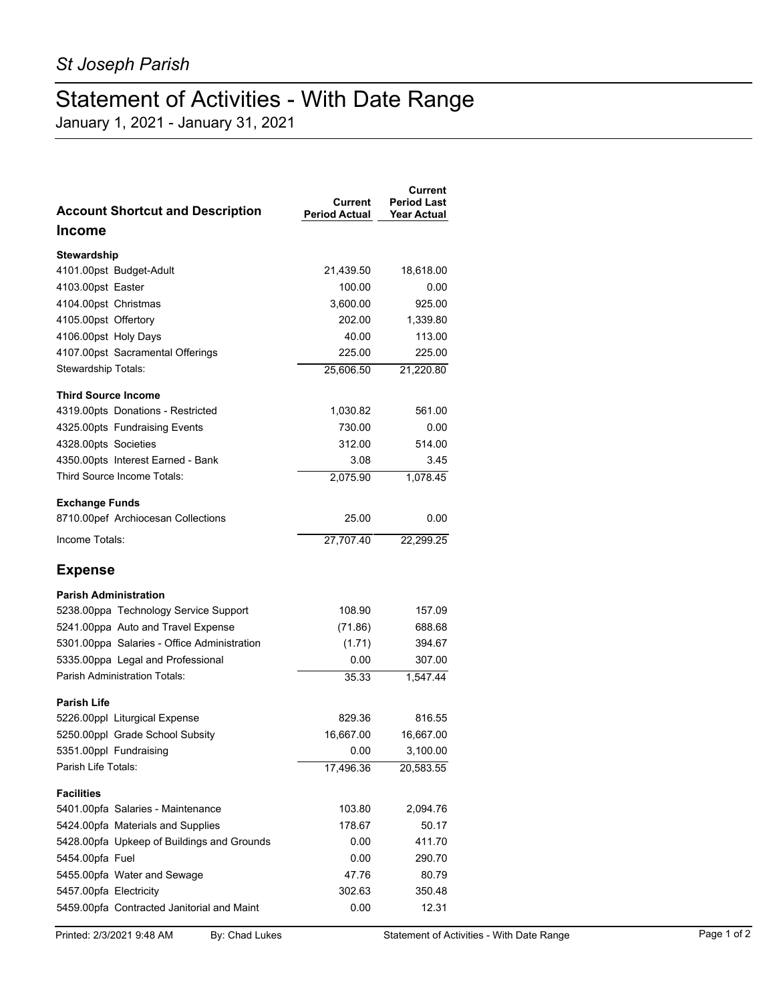## Statement of Activities - With Date Range

January 1, 2021 - January 31, 2021

| <b>Account Shortcut and Description</b>     | Current<br><b>Period Actual</b> | <b>Current</b><br><b>Period Last</b><br><b>Year Actual</b> |
|---------------------------------------------|---------------------------------|------------------------------------------------------------|
| <b>Income</b>                               |                                 |                                                            |
| Stewardship                                 |                                 |                                                            |
| 4101.00pst Budget-Adult                     | 21,439.50                       | 18,618.00                                                  |
| 4103.00pst Easter                           | 100.00                          | 0.00                                                       |
| 4104.00pst Christmas                        | 3,600.00                        | 925.00                                                     |
| 4105.00pst Offertory                        | 202.00                          | 1,339.80                                                   |
| 4106.00pst Holy Days                        | 40.00                           | 113.00                                                     |
| 4107.00pst Sacramental Offerings            | 225.00                          | 225.00                                                     |
| Stewardship Totals:                         | 25,606.50                       | 21,220.80                                                  |
| <b>Third Source Income</b>                  |                                 |                                                            |
| 4319.00pts Donations - Restricted           | 1,030.82                        | 561.00                                                     |
| 4325.00pts Fundraising Events               | 730.00                          | 0.00                                                       |
| 4328.00pts Societies                        | 312.00                          | 514.00                                                     |
| 4350.00pts Interest Earned - Bank           | 3.08                            | 3.45                                                       |
| Third Source Income Totals:                 | 2,075.90                        | 1,078.45                                                   |
| <b>Exchange Funds</b>                       |                                 |                                                            |
| 8710.00pef Archiocesan Collections          | 25.00                           | 0.00                                                       |
| Income Totals:                              | 27,707.40                       | 22,299.25                                                  |
| <b>Expense</b>                              |                                 |                                                            |
| <b>Parish Administration</b>                |                                 |                                                            |
| 5238.00ppa Technology Service Support       | 108.90                          | 157.09                                                     |
| 5241.00ppa Auto and Travel Expense          | (71.86)                         | 688.68                                                     |
| 5301.00ppa Salaries - Office Administration | (1.71)                          | 394.67                                                     |
| 5335.00ppa Legal and Professional           | 0.00                            | 307.00                                                     |
| Parish Administration Totals:               | 35.33                           | 1,547.44                                                   |
| <b>Parish Life</b>                          |                                 |                                                            |
| 5226.00ppl Liturgical Expense               | 829.36                          | 816.55                                                     |
| 5250.00ppl Grade School Subsity             | 16,667.00                       | 16,667.00                                                  |
| 5351.00ppl Fundraising                      | 0.00                            | 3,100.00                                                   |
| Parish Life Totals:                         | 17,496.36                       | 20,583.55                                                  |
| <b>Facilities</b>                           |                                 |                                                            |
| 5401.00pfa Salaries - Maintenance           | 103.80                          | 2,094.76                                                   |
| 5424.00pfa Materials and Supplies           | 178.67                          | 50.17                                                      |
| 5428.00pfa Upkeep of Buildings and Grounds  | 0.00                            | 411.70                                                     |
| 5454.00pfa Fuel                             | 0.00                            | 290.70                                                     |
| 5455.00pfa Water and Sewage                 | 47.76                           | 80.79                                                      |
| 5457.00pfa Electricity                      | 302.63                          | 350.48                                                     |
| 5459.00pfa Contracted Janitorial and Maint  | 0.00                            | 12.31                                                      |